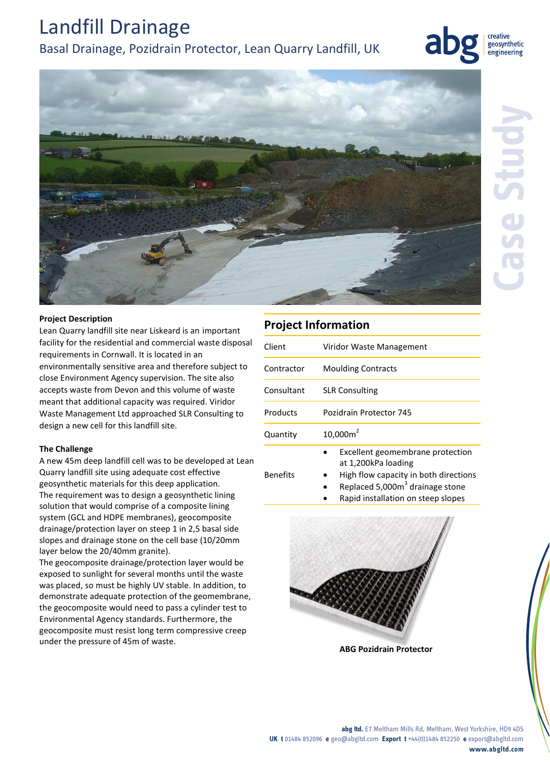## Landfill Drainage

## Basal Drainage, Pozidrain Protector, Lean Quarry Landfill, UK



creative geosynthetic engineering



#### **Project Description**

Lean Quarry landfill site near Liskeard is an important facility for the residential and commercial waste disposal requirements in Cornwall. It is located in an environmentally sensitive area and therefore subject to close Environment Agency supervision. The site also accepts waste from Devon and this volume of waste meant that additional capacity was required. Viridor Waste Management Ltd approached SLR Consulting to design a new cell for this landfill site.

### **The Challenge**

A new 45m deep landfill cell was to be developed at Lean Quarry landfill site using adequate cost effective geosynthetic materials for this deep application. The requirement was to design a geosynthetic lining solution that would comprise of a composite lining system (GCL and HDPE membranes), geocomposite drainage/protection layer on steep 1 in 2,5 basal side slopes and drainage stone on the cell base (10/20mm layer below the 20/40mm granite).

The geocomposite drainage/protection layer would be exposed to sunlight for several months until the waste was placed, so must be highly UV stable. In addition, to demonstrate adequate protection of the geomembrane, the geocomposite would need to pass a cylinder test to Environmental Agency standards. Furthermore, the geocomposite must resist long term compressive creep under the pressure of 45m of waste.

## **Project Information**

| Client     | Viridor Waste Management  |
|------------|---------------------------|
| Contractor | <b>Moulding Contracts</b> |
| Consultant | <b>SLR Consulting</b>     |
| Products   | Pozidrain Protector 745   |
| Quantity   | $10,000m^2$               |
|            |                           |

Benefits

- Excellent geomembrane protection at 1,200kPa loading
- High flow capacity in both directions
- Replaced 5,000 $m<sup>3</sup>$  drainage stone
- Rapid installation on steep slopes



**ABG Pozidrain Protector**